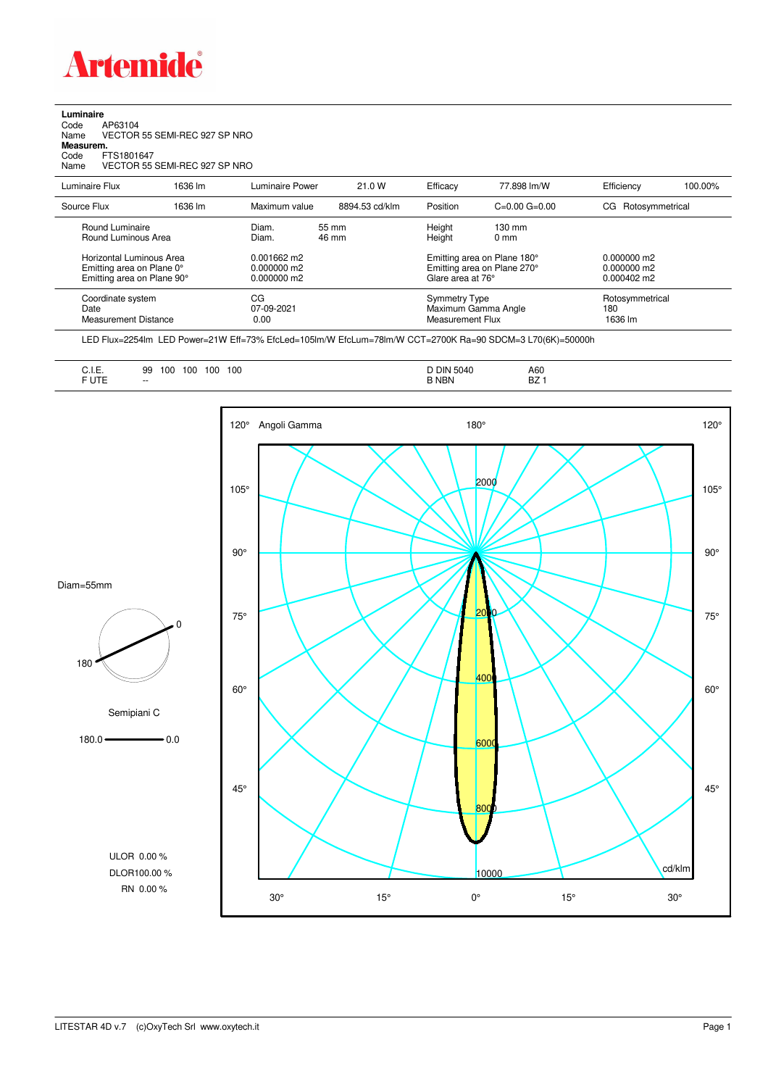

## **Luminaire**<br>Code<br>Name Code AP63104 Name VECTOR 55 SEMI-REC 927 SP NRO **Measurem.** Code FTS1801647 Name VECTOR 55 SEMI-REC 927 SP NRO

| Luminaire Flux                                                                      | 1636 lm | Luminaire Power                                 | 21.0 W         | Efficacy         | 77.898 lm/W                                                                     | Efficiency                        | 100.00%                                                |  |
|-------------------------------------------------------------------------------------|---------|-------------------------------------------------|----------------|------------------|---------------------------------------------------------------------------------|-----------------------------------|--------------------------------------------------------|--|
| Source Flux                                                                         | 1636 lm | Maximum value                                   | 8894.53 cd/klm | Position         | $C=0.00$ $G=0.00$                                                               | Rotosymmetrical<br>CG.            |                                                        |  |
| Round Luminaire<br>Round Luminous Area                                              |         | Diam.<br>Diam.                                  | 55 mm<br>46 mm | Height<br>Height | $130 \text{ mm}$<br>$0 \text{ mm}$                                              |                                   |                                                        |  |
| Horizontal Luminous Area<br>Emitting area on Plane 0°<br>Emitting area on Plane 90° |         | $0.001662$ m2<br>$0.000000$ m2<br>$0.000000$ m2 |                |                  | Emitting area on Plane 180°<br>Emitting area on Plane 270°<br>Glare area at 76° |                                   | $0.000000$ m2<br>$0.000000$ m2<br>$0.000402 \text{ m}$ |  |
| Coordinate system<br>Date<br>Measurement Distance                                   |         | CG<br>07-09-2021<br>0.00                        |                |                  | <b>Symmetry Type</b><br>Maximum Gamma Angle<br>Measurement Flux                 | Rotosymmetrical<br>180<br>1636 lm |                                                        |  |

LED Flux=2254lm LED Power=21W Eff=73% EfcLed=105lm/W EfcLum=78lm/W CCT=2700K Ra=90 SDCM=3 L70(6K)=50000h